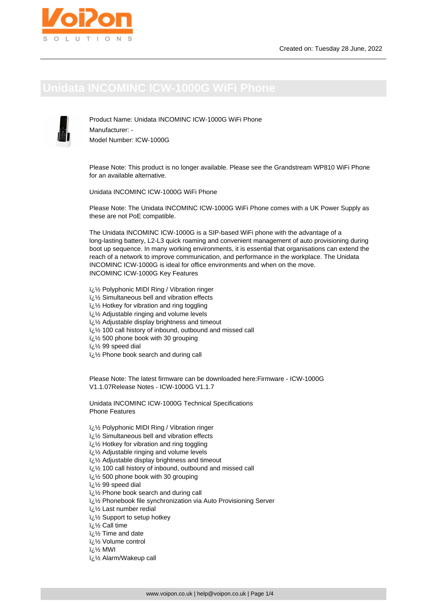Product Name: Unidata INCOMINC ICW-1000G WiFi Phone Manufacturer: - Model Number: ICW-1000G

Please Note: This product is no longer available. Please see the Grandstream WP810 WiFi Phone for an available alternative.

Unidata INCOMINC ICW-1000G WiFi Phone

Please Note: The Unidata INCOMINC ICW-1000G WiFi Phone comes with a UK Power Supply as these are not PoE compatible.

The Unidata INCOMINC ICW-1000G is a SIP-based WiFi phone with the advantage of a long-lasting battery, L2-L3 quick roaming and convenient management of auto provisioning during boot up sequence. In many working environments, it is essential that organisations can extend the reach of a network to improve communication, and performance in the workplace. The Unidata INCOMINC ICW-1000G is ideal for office environments and when on the move. INCOMINC ICW-1000G Key Features

- $\frac{1}{2}$ /2 Polyphonic MIDI Ring / Vibration ringer
- i<sub>j</sub> 1/<sub>2</sub> Simultaneous bell and vibration effects
- $\frac{1}{2}$ ن Hotkey for vibration and ring toggling
- $\frac{1}{2}$ % Adjustable ringing and volume levels
- i¿1⁄2 Adjustable display brightness and timeout
- لأرة 100 call history of inbound, outbound and missed call
- � 500 phone book with 30 grouping
- $i/2$  99 speed dial
- � Phone book search and during call

Please Note: The latest firmware can be downloaded here:Firmware - ICW-1000G V1.1.07Release Notes - ICW-1000G V1.1.7

Unidata INCOMINC ICW-1000G Technical Specifications Phone Features

- $\frac{1}{2}$ /2 Polyphonic MIDI Ring / Vibration ringer
- لُ Simultaneous bell and vibration effects
- $\frac{1}{2}$ یi Hotkey for vibration and ring toggling
- i<sub>i.</sub> 1/<sub>2</sub> Adjustable ringing and volume levels
- $i/2$  Adjustable display brightness and timeout
- لأرجة 100 call history of inbound, outbound and missed call
- $i\lambda$  500 phone book with 30 grouping

 $i/2$  99 speed dial

- � Phone book search and during call
- لَنْ !⁄2 Phonebook file synchronization via Auto Provisioning Server
- i¿1⁄2 Last number redial
- � Support to setup hotkey

� Call time

- $\frac{1}{2}$ ن Time and date
- i<sub>i</sub> 1/<sub>2</sub> Volume control

 $i\frac{1}{2}$  MWI

� Alarm/Wakeup call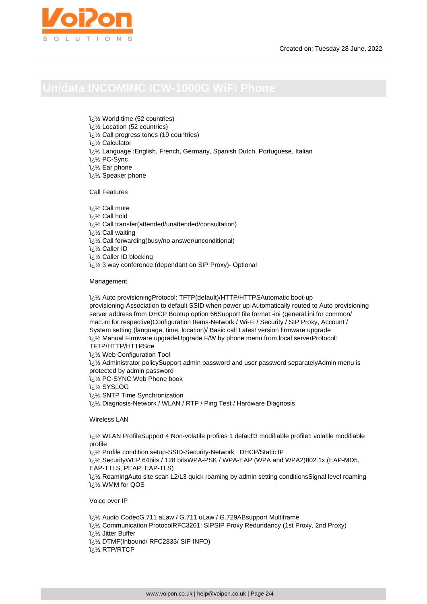$\frac{1}{2}$ لائi World time (52 countries)

i<sub>i</sub>: 1/<sub>2</sub> Location (52 countries)

i¿1/2 Call progress tones (19 countries)

*i* 2½ Calculator

i¿1/2 Language :English, French, Germany, Spanish Dutch, Portuguese, Italian

� PC-Sync

� Ear phone

i¿1⁄2 Speaker phone

Call Features

iz 1/2 Call mute � Call hold

لَائ $\frac{1}{2}$  Call transfer(attended/unattended/consultation)

i<sub>i.</sub>1/<sub>2</sub> Call waiting

� Call forwarding(busy/no answer/unconditional)

� Caller ID

� Caller ID blocking

لأزة 3 way conference (dependant on SIP Proxy)- Optional

## Management

لَّ  $\frac{1}{2}$  Auto provisioningProtocol: TFTP(default)/HTTP/HTTPSAutomatic boot-up provisioning-Association to default SSID when power up-Automatically routed to Auto provisioning server address from DHCP Bootup option 66Support file format -ini (general.ini for common/ mac.ini for respective)Configuration Items-Network / Wi-Fi / Security / SIP Proxy, Account / System setting (language, time, location)/ Basic call Latest version firmware upgrade i¿1/2 Manual Firmware upgradeUpgrade F/W by phone menu from local serverProtocol: TFTP/HTTP/HTTPSde

� Web Configuration Tool

� Administrator policySupport admin password and user password separatelyAdmin menu is protected by admin password

� PC-SYNC Web Phone book

� SYSLOG

 $\frac{1}{2}$ 's SNTP Time Synchronization

 $i,j'$ 2 Diagnosis-Network / WLAN / RTP / Ping Test / Hardware Diagnosis

Wireless LAN

� WLAN ProfileSupport 4 Non-volatile profiles 1 default3 modifiable profile1 volatile modifiable profile

12 Profile condition setup-SSID-Security-Network : DHCP/Static IP

� SecurityWEP 64bits / 128 bitsWPA-PSK / WPA-EAP (WPA and WPA2)802.1x (EAP-MD5, EAP-TTLS, PEAP, EAP-TLS)

 $i,j/2$  RoamingAuto site scan L2/L3 quick roaming by admin setting conditionsSignal level roaming i<sub>i</sub>% WMM for QOS

Voice over IP

� Audio CodecG.711 aLaw / G.711 uLaw / G.729ABsupport Multiframe � Communication ProtocolRFC3261: SIPSIP Proxy Redundancy (1st Proxy, 2nd Proxy)  $i\mathcal{V}_2$  Jitter Buffer � DTMF(Inbound/ RFC2833/ SIP INFO) k<sup>1</sup>/<sub>2</sub> RTP/RTCP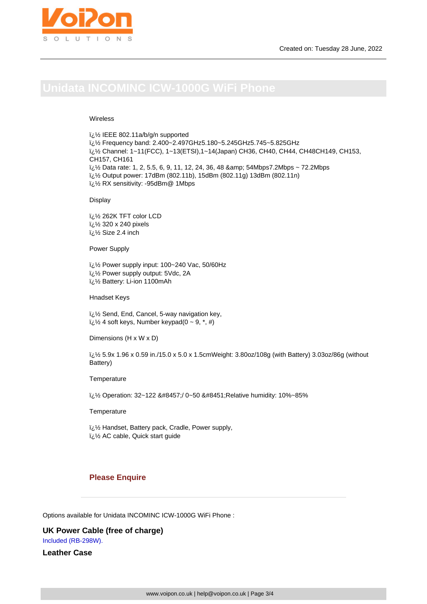## Wireless

� IEEE 802.11a/b/g/n supported i¿1/2 Frequency band: 2.400~2.497GHz5.180~5.245GHz5.745~5.825GHz � Channel: 1~11(FCC), 1~13(ETSI),1~14(Japan) CH36, CH40, CH44, CH48CH149, CH153, CH157, CH161 � Data rate: 1, 2, 5.5, 6, 9, 11, 12, 24, 36, 48 & 54Mbps7.2Mbps ~ 72.2Mbps � Output power: 17dBm (802.11b), 15dBm (802.11g) 13dBm (802.11n) � RX sensitivity: -95dBm@ 1Mbps

Display

� 262K TFT color LCD � 320 x 240 pixels  $\frac{1}{2}$ لَ Size 2.4 inch

Power Supply

i¿1/2 Power supply input: 100~240 Vac, 50/60Hz � Power supply output: 5Vdc, 2A � Battery: Li-ion 1100mAh

Hnadset Keys

i<sub>i.</sub> $\frac{1}{2}$  Send, End, Cancel, 5-way navigation key,  $i\lambda$ <sup>2</sup> 4 soft keys, Number keypad(0 ~ 9,  $*$ , #)

Dimensions (H x W x D)

� 5.9x 1.96 x 0.59 in./15.0 x 5.0 x 1.5cmWeight: 3.80oz/108g (with Battery) 3.03oz/86g (without Battery)

**Temperature** 

� Operation: 32~122 ℉/ 0~50 ℃Relative humidity: 10%~85%

**Temperature** 

� Handset, Battery pack, Cradle, Power supply, � AC cable, Quick start guide

# **Please Enquire**

Options available for Unidata INCOMINC ICW-1000G WiFi Phone :

**UK Power Cable (free of charge)** Included (RB-298W).

**Leather Case**